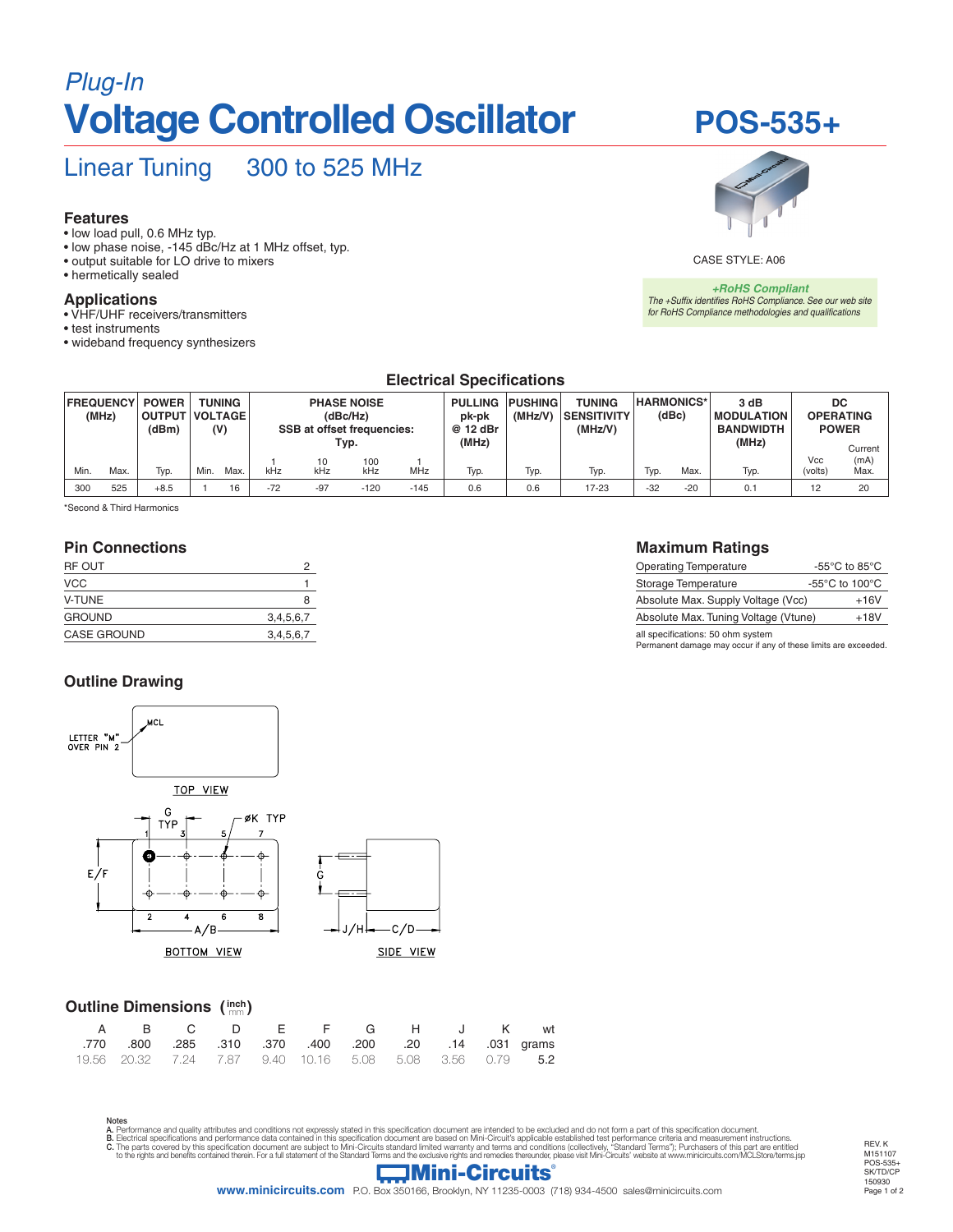# *Plug-In* **Voltage Controlled Oscillator**

## Linear Tuning 300 to 525 MHz

#### **Features**

- low load pull, 0.6 MHz typ.
- low phase noise, -145 dBc/Hz at 1 MHz offset, typ.
- output suitable for LO drive to mixers
- hermetically sealed

#### **Applications**

- VHF/UHF receivers/transmitters
- test instruments
- wideband frequency synthesizers



**POS-535+**

CASE STYLE: A06

*+RoHS Compliant The +Suffix identifies RoHS Compliance. See our web site for RoHS Compliance methodologies and qualifications*

#### **Electrical Specifications**

| <b>FREQUENCY</b><br>(MHz) |      | <b>POWER</b><br>(dBm) | <b>TUNING</b><br>  OUTPUT   VOLTAGE  <br>(V) |      | <b>PHASE NOISE</b><br>(dBc/Hz)<br><b>SSB at offset frequencies:</b> |       |        |        | PULLING PUSHING<br>(MHz/V)<br>pk-pk<br>@ 12 dBr |      | <b>TUNING</b><br><b>SENSITIVITY</b><br>(MHz/V) | <b>HARMONICS*</b><br>(dBc) |       | 3 dB<br><b>IMODULATION</b><br><b>BANDWIDTH</b> | DC<br><b>OPERATING</b><br><b>POWER</b> |      |
|---------------------------|------|-----------------------|----------------------------------------------|------|---------------------------------------------------------------------|-------|--------|--------|-------------------------------------------------|------|------------------------------------------------|----------------------------|-------|------------------------------------------------|----------------------------------------|------|
|                           |      |                       |                                              |      | Typ.                                                                |       |        | (MHz)  |                                                 |      |                                                |                            | (MHz) |                                                | Current                                |      |
|                           |      |                       |                                              |      |                                                                     | 10    | 100    |        |                                                 |      |                                                |                            |       |                                                | Vcc                                    | (mA) |
| Min.                      | Max. | Typ.                  | Min.                                         | Max. | kHz                                                                 | kHz   | kHz    | MHz    | Typ.                                            | Typ. | Typ.                                           | Typ.                       | Max.  | Typ.                                           | (volts)                                | Max. |
| 300                       | 525  | $+8.5$                |                                              | 16   | $-72$                                                               | $-97$ | $-120$ | $-145$ | 0.6                                             | 0.6  | 17-23                                          | $-32$                      | $-20$ | 0.1                                            | 12                                     | 20   |

\*Second & Third Harmonics

#### **Pin Connections**

| RF OUT             |           |
|--------------------|-----------|
| <b>VCC</b>         |           |
| <b>V-TUNE</b>      | 8         |
| <b>GROUND</b>      | 3,4,5,6,7 |
| <b>CASE GROUND</b> | 3,4,5,6,7 |

#### **Outline Drawing**



#### **Outline Dimensions ( ) inch** mm

| A B C D E F G H J K wt                                          |  |  |  |  |  |
|-----------------------------------------------------------------|--|--|--|--|--|
| .770 800 .285 .310 .370 .400 .200 .200 .14 .031 grams           |  |  |  |  |  |
| 19.56 20.32 7.24 7.87 9.40 10.16 5.08 5.08 3.56 0.79 <b>5.2</b> |  |  |  |  |  |

Notes **A**. Performance and quality attributes and conditions not expressly stated in this specification document are intended to be excluded and do not form a part of this specification document.<br>**B.** Electrical specifications a B. Library parallel and benefits contained by this specification document are subject to Mini-Circuits standard limited warranty and terms and conditions (collectively, "Standard Terms"); Purchasers of this part are entitl

#### **Maximum Ratings**

| <b>Operating Temperature</b>         | -55 $\mathrm{^{\circ}C}$ to 85 $\mathrm{^{\circ}C}$  |
|--------------------------------------|------------------------------------------------------|
| Storage Temperature                  | -55 $\mathrm{^{\circ}C}$ to 100 $\mathrm{^{\circ}C}$ |
| Absolute Max. Supply Voltage (Vcc)   | $+16V$                                               |
| Absolute Max. Tuning Voltage (Vtune) | $+18V$                                               |
| all snecifications: 50 ohm svstem    |                                                      |

all specifications: 50 ohm system Permanent damage may occur if any of these limits are exceeded.